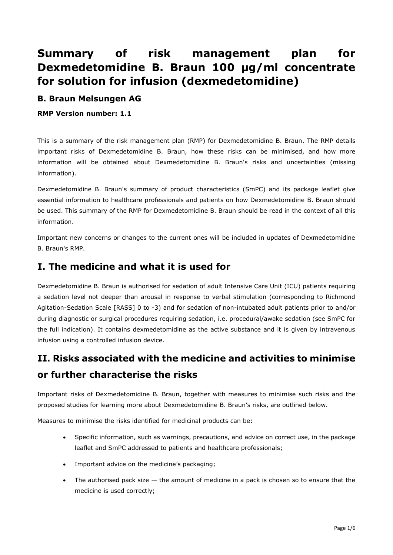# **Summary of risk management plan for Dexmedetomidine B. Braun 100 µg/ml concentrate for solution for infusion (dexmedetomidine)**

### **B. Braun Melsungen AG**

**RMP Version number: 1.1**

This is a summary of the risk management plan (RMP) for Dexmedetomidine B. Braun. The RMP details important risks of Dexmedetomidine B. Braun, how these risks can be minimised, and how more information will be obtained about Dexmedetomidine B. Braun's risks and uncertainties (missing information).

Dexmedetomidine B. Braun's summary of product characteristics (SmPC) and its package leaflet give essential information to healthcare professionals and patients on how Dexmedetomidine B. Braun should be used. This summary of the RMP for Dexmedetomidine B. Braun should be read in the context of all this information.

Important new concerns or changes to the current ones will be included in updates of Dexmedetomidine B. Braun's RMP.

## **I. The medicine and what it is used for**

Dexmedetomidine B. Braun is authorised for sedation of adult Intensive Care Unit (ICU) patients requiring a sedation level not deeper than arousal in response to verbal stimulation (corresponding to Richmond Agitation-Sedation Scale [RASS] 0 to -3) and for sedation of non-intubated adult patients prior to and/or during diagnostic or surgical procedures requiring sedation, i.e. procedural/awake sedation (see SmPC for the full indication). It contains dexmedetomidine as the active substance and it is given by intravenous infusion using a controlled infusion device.

# **II. Risks associated with the medicine and activities to minimise or further characterise the risks**

Important risks of Dexmedetomidine B. Braun, together with measures to minimise such risks and the proposed studies for learning more about Dexmedetomidine B. Braun's risks, are outlined below.

Measures to minimise the risks identified for medicinal products can be:

- Specific information, such as warnings, precautions, and advice on correct use, in the package leaflet and SmPC addressed to patients and healthcare professionals;
- Important advice on the medicine's packaging;
- The authorised pack size  $-$  the amount of medicine in a pack is chosen so to ensure that the medicine is used correctly;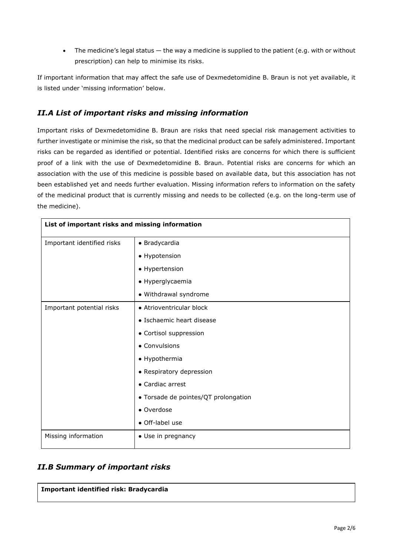• The medicine's legal status — the way a medicine is supplied to the patient (e.g. with or without prescription) can help to minimise its risks.

If important information that may affect the safe use of Dexmedetomidine B. Braun is not yet available, it is listed under 'missing information' below.

#### *II.A List of important risks and missing information*

Important risks of Dexmedetomidine B. Braun are risks that need special risk management activities to further investigate or minimise the risk, so that the medicinal product can be safely administered. Important risks can be regarded as identified or potential. Identified risks are concerns for which there is sufficient proof of a link with the use of Dexmedetomidine B. Braun. Potential risks are concerns for which an association with the use of this medicine is possible based on available data, but this association has not been established yet and needs further evaluation. Missing information refers to information on the safety of the medicinal product that is currently missing and needs to be collected (e.g. on the long-term use of the medicine).

| List of important risks and missing information |                                      |  |
|-------------------------------------------------|--------------------------------------|--|
| Important identified risks                      | • Bradycardia                        |  |
|                                                 | • Hypotension                        |  |
|                                                 | • Hypertension                       |  |
|                                                 | • Hyperglycaemia                     |  |
|                                                 | · Withdrawal syndrome                |  |
| Important potential risks                       | • Atrioventricular block             |  |
|                                                 | • Ischaemic heart disease            |  |
|                                                 | • Cortisol suppression               |  |
|                                                 | • Convulsions                        |  |
|                                                 | • Hypothermia                        |  |
|                                                 | • Respiratory depression             |  |
|                                                 | • Cardiac arrest                     |  |
|                                                 | • Torsade de pointes/QT prolongation |  |
|                                                 | • Overdose                           |  |
|                                                 | • Off-label use                      |  |
| Missing information                             | • Use in pregnancy                   |  |

#### *II.B Summary of important risks*

| Important identified risk: Bradycardia |  |
|----------------------------------------|--|
|----------------------------------------|--|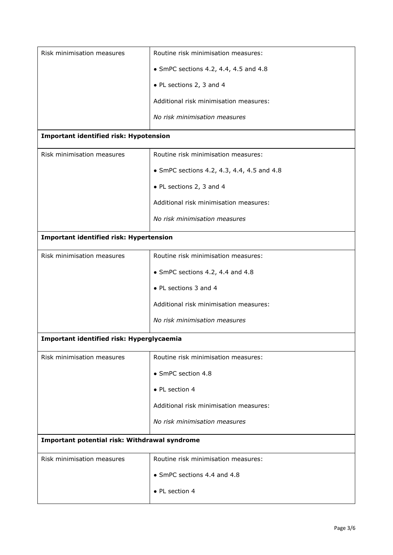| Risk minimisation measures                     | Routine risk minimisation measures:           |  |
|------------------------------------------------|-----------------------------------------------|--|
|                                                | $\bullet$ SmPC sections 4.2, 4.4, 4.5 and 4.8 |  |
|                                                | • PL sections 2, 3 and 4                      |  |
|                                                | Additional risk minimisation measures:        |  |
|                                                | No risk minimisation measures                 |  |
| <b>Important identified risk: Hypotension</b>  |                                               |  |
| Risk minimisation measures                     | Routine risk minimisation measures:           |  |
|                                                | • SmPC sections 4.2, 4.3, 4.4, 4.5 and 4.8    |  |
|                                                | • PL sections 2, 3 and 4                      |  |
|                                                | Additional risk minimisation measures:        |  |
|                                                | No risk minimisation measures                 |  |
| <b>Important identified risk: Hypertension</b> |                                               |  |
| Risk minimisation measures                     | Routine risk minimisation measures:           |  |
|                                                | • SmPC sections 4.2, 4.4 and 4.8              |  |
|                                                | • PL sections 3 and 4                         |  |
|                                                | Additional risk minimisation measures:        |  |
|                                                | No risk minimisation measures                 |  |
| Important identified risk: Hyperglycaemia      |                                               |  |
| Risk minimisation measures                     | Routine risk minimisation measures:           |  |
|                                                | • SmPC section 4.8                            |  |
|                                                | • PL section 4                                |  |
|                                                | Additional risk minimisation measures:        |  |
|                                                | No risk minimisation measures                 |  |
| Important potential risk: Withdrawal syndrome  |                                               |  |
| Risk minimisation measures                     | Routine risk minimisation measures:           |  |
|                                                | • SmPC sections 4.4 and 4.8                   |  |
|                                                | • PL section 4                                |  |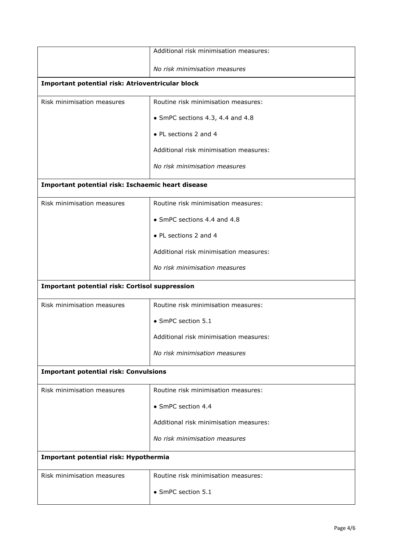|                                                       | Additional risk minimisation measures: |  |
|-------------------------------------------------------|----------------------------------------|--|
|                                                       | No risk minimisation measures          |  |
| Important potential risk: Atrioventricular block      |                                        |  |
| Risk minimisation measures                            | Routine risk minimisation measures:    |  |
|                                                       | • SmPC sections 4.3, 4.4 and 4.8       |  |
|                                                       | • PL sections 2 and 4                  |  |
|                                                       | Additional risk minimisation measures: |  |
|                                                       | No risk minimisation measures          |  |
| Important potential risk: Ischaemic heart disease     |                                        |  |
| Risk minimisation measures                            | Routine risk minimisation measures:    |  |
|                                                       | • SmPC sections 4.4 and 4.8            |  |
|                                                       | • PL sections 2 and 4                  |  |
|                                                       | Additional risk minimisation measures: |  |
|                                                       | No risk minimisation measures          |  |
| <b>Important potential risk: Cortisol suppression</b> |                                        |  |
| Risk minimisation measures                            | Routine risk minimisation measures:    |  |
|                                                       | • SmPC section 5.1                     |  |
|                                                       | Additional risk minimisation measures: |  |
|                                                       | No risk minimisation measures          |  |
| <b>Important potential risk: Convulsions</b>          |                                        |  |
| Risk minimisation measures                            | Routine risk minimisation measures:    |  |
|                                                       | • SmPC section 4.4                     |  |
|                                                       | Additional risk minimisation measures: |  |
|                                                       | No risk minimisation measures          |  |
| Important potential risk: Hypothermia                 |                                        |  |
| Risk minimisation measures                            | Routine risk minimisation measures:    |  |
|                                                       | • SmPC section 5.1                     |  |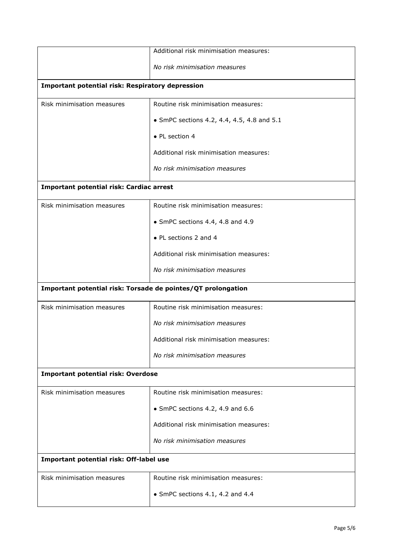|                                                              | Additional risk minimisation measures:     |  |
|--------------------------------------------------------------|--------------------------------------------|--|
|                                                              | No risk minimisation measures              |  |
| <b>Important potential risk: Respiratory depression</b>      |                                            |  |
| Risk minimisation measures                                   | Routine risk minimisation measures:        |  |
|                                                              | • SmPC sections 4.2, 4.4, 4.5, 4.8 and 5.1 |  |
|                                                              | • PL section 4                             |  |
|                                                              | Additional risk minimisation measures:     |  |
|                                                              | No risk minimisation measures              |  |
| Important potential risk: Cardiac arrest                     |                                            |  |
| Risk minimisation measures                                   | Routine risk minimisation measures:        |  |
|                                                              | • SmPC sections 4.4, 4.8 and 4.9           |  |
|                                                              | • PL sections 2 and 4                      |  |
|                                                              | Additional risk minimisation measures:     |  |
|                                                              | No risk minimisation measures              |  |
| Important potential risk: Torsade de pointes/QT prolongation |                                            |  |
| Risk minimisation measures                                   | Routine risk minimisation measures:        |  |
|                                                              | No risk minimisation measures              |  |
|                                                              | Additional risk minimisation measures:     |  |
|                                                              | No risk minimisation measures              |  |
| <b>Important potential risk: Overdose</b>                    |                                            |  |
| Risk minimisation measures                                   | Routine risk minimisation measures:        |  |
|                                                              | • SmPC sections 4.2, 4.9 and 6.6           |  |
|                                                              | Additional risk minimisation measures:     |  |
|                                                              | No risk minimisation measures              |  |
| Important potential risk: Off-label use                      |                                            |  |
| Risk minimisation measures                                   | Routine risk minimisation measures:        |  |
|                                                              | • SmPC sections 4.1, 4.2 and 4.4           |  |